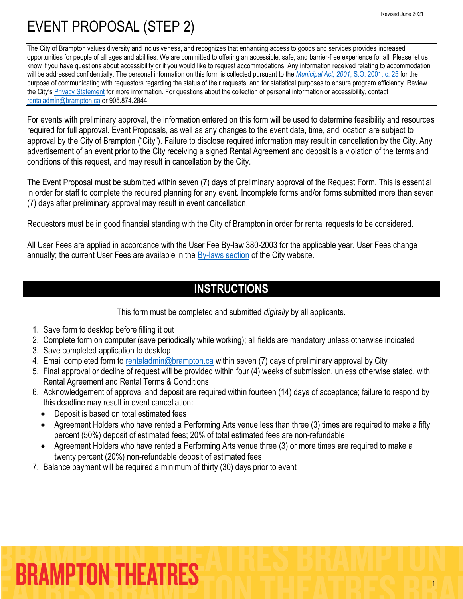1

## EVENT PROPOSAL (STEP 2)

The City of Brampton values diversity and inclusiveness, and recognizes that enhancing access to goods and services provides increased opportunities for people of all ages and abilities. We are committed to offering an accessible, safe, and barrier-free experience for all. Please let us know if you have questions about accessibility or if you would like to request accommodations. Any information received relating to accommodation will be addressed confidentially. The personal information on this form is collected pursuant to the *[Municipal Act, 2001](https://www.ontario.ca/laws/statute/01m25)*, S.O. 2001, c. 25 for the purpose of communicating with requestors regarding the status of their requests, and for statistical purposes to ensure program efficiency. Review the City's [Privacy Statement](http://www.brampton.ca/en/Info-Centre/Pages/Privacy-Statement.aspx) for more information. For questions about the collection of personal information or accessibility, contact [rentaladmin@brampton.ca](mailto:rentaladmin@brampton.ca) or 905.874.2844.

For events with preliminary approval, the information entered on this form will be used to determine feasibility and resources required for full approval. Event Proposals, as well as any changes to the event date, time, and location are subject to approval by the City of Brampton ("City"). Failure to disclose required information may result in cancellation by the City. Any advertisement of an event prior to the City receiving a signed Rental Agreement and deposit is a violation of the terms and conditions of this request, and may result in cancellation by the City.

The Event Proposal must be submitted within seven (7) days of preliminary approval of the Request Form. This is essential in order for staff to complete the required planning for any event. Incomplete forms and/or forms submitted more than seven (7) days after preliminary approval may result in event cancellation.

Requestors must be in good financial standing with the City of Brampton in order for rental requests to be considered.

All User Fees are applied in accordance with the User Fee By-law 380-2003 for the applicable year. User Fees change annually; the current User Fees are available in the [By-laws section](http://www.brampton.ca/EN/City-Hall/Bylaws/Pages/Welcome.aspx) of the City website.

### **INSTRUCTIONS**

This form must be completed and submitted *digitally* by all applicants.

- 1. Save form to desktop before filling it out
- 2. Complete form on computer (save periodically while working); all fields are mandatory unless otherwise indicated
- 3. Save completed application to desktop
- 4. Email completed form to [rentaladmin@brampton.ca](mailto:rentaladmin@brampton.ca) within seven (7) days of preliminary approval by City
- 5. Final approval or decline of request will be provided within four (4) weeks of submission, unless otherwise stated, with Rental Agreement and Rental Terms & Conditions
- 6. Acknowledgement of approval and deposit are required within fourteen (14) days of acceptance; failure to respond by this deadline may result in event cancellation:
	- Deposit is based on total estimated fees
	- Agreement Holders who have rented a Performing Arts venue less than three (3) times are required to make a fifty percent (50%) deposit of estimated fees; 20% of total estimated fees are non-refundable
	- Agreement Holders who have rented a Performing Arts venue three (3) or more times are required to make a twenty percent (20%) non-refundable deposit of estimated fees
- 7. Balance payment will be required a minimum of thirty (30) days prior to event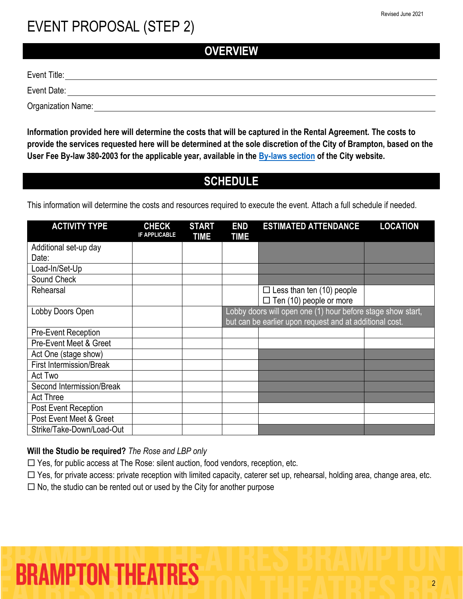**OVERVIEW**

Event Title:

Event Date:

Organization Name:

**Information provided here will determine the costs that will be captured in the Rental Agreement. The costs to provide the services requested here will be determined at the sole discretion of the City of Brampton, based on the User Fee By-law 380-2003 for the applicable year, available in the [By-laws section](http://www.brampton.ca/EN/City-Hall/Bylaws/Pages/Welcome.aspx) of the City website.**

#### **SCHEDULE**

This information will determine the costs and resources required to execute the event. Attach a full schedule if needed.

| <b>ACTIVITY TYPE</b>            | <b>CHECK</b><br><b>IF APPLICABLE</b> | <b>START</b><br>TIME | <b>END</b><br><b>TIME</b> | <b>ESTIMATED ATTENDANCE</b>                                                                                            | <b>LOCATION</b> |
|---------------------------------|--------------------------------------|----------------------|---------------------------|------------------------------------------------------------------------------------------------------------------------|-----------------|
| Additional set-up day           |                                      |                      |                           |                                                                                                                        |                 |
| Date:                           |                                      |                      |                           |                                                                                                                        |                 |
| Load-In/Set-Up                  |                                      |                      |                           |                                                                                                                        |                 |
| Sound Check                     |                                      |                      |                           |                                                                                                                        |                 |
| Rehearsal                       |                                      |                      |                           | $\Box$ Less than ten (10) people                                                                                       |                 |
|                                 |                                      |                      |                           | $\Box$ Ten (10) people or more                                                                                         |                 |
| Lobby Doors Open                |                                      |                      |                           | Lobby doors will open one (1) hour before stage show start,<br>but can be earlier upon request and at additional cost. |                 |
| <b>Pre-Event Reception</b>      |                                      |                      |                           |                                                                                                                        |                 |
| Pre-Event Meet & Greet          |                                      |                      |                           |                                                                                                                        |                 |
| Act One (stage show)            |                                      |                      |                           |                                                                                                                        |                 |
| <b>First Intermission/Break</b> |                                      |                      |                           |                                                                                                                        |                 |
| Act Two                         |                                      |                      |                           |                                                                                                                        |                 |
| Second Intermission/Break       |                                      |                      |                           |                                                                                                                        |                 |
| <b>Act Three</b>                |                                      |                      |                           |                                                                                                                        |                 |
| Post Event Reception            |                                      |                      |                           |                                                                                                                        |                 |
| Post Event Meet & Greet         |                                      |                      |                           |                                                                                                                        |                 |
| Strike/Take-Down/Load-Out       |                                      |                      |                           |                                                                                                                        |                 |

#### **Will the Studio be required?** *The Rose and LBP only*

 $\Box$  Yes, for public access at The Rose: silent auction, food vendors, reception, etc.

□ Yes, for private access: private reception with limited capacity, caterer set up, rehearsal, holding area, change area, etc.

 $\Box$  No, the studio can be rented out or used by the City for another purpose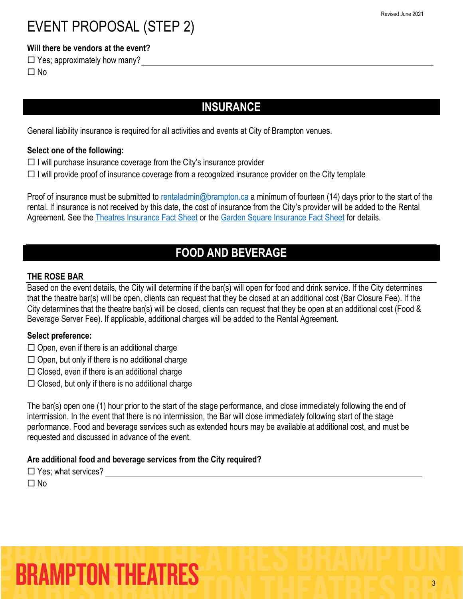#### **Will there be vendors at the event?**

 $\Box$  Yes; approximately how many?  $\Box$  No

#### **INSURANCE**

General liability insurance is required for all activities and events at City of Brampton venues.

#### **Select one of the following:**

- $\Box$  I will purchase insurance coverage from the City's insurance provider
- $\Box$  I will provide proof of insurance coverage from a recognized insurance provider on the City template

Proof of insurance must be submitted t[o rentaladmin@brampton.ca](mailto:rentaladmin@brampton.ca) a minimum of fourteen (14) days prior to the start of the rental. If insurance is not received by this date, the cost of insurance from the City's provider will be added to the Rental Agreement. See the [Theatres Insurance Fact Sheet](https://tickets.brampton.ca/Online/default.asp?BOparam::WScontent::loadArticle::permalink=RentTheRose&BOparam::WScontent::loadArticle::context_id=) or the [Garden Square Insurance Fact Sheet](https://www.brampton.ca/EN/Arts-Culture-Tourism/garden-square/Pages/Book-the-Square.aspx) for details.

#### **FOOD AND BEVERAGE**

#### **THE ROSE BAR**

Based on the event details, the City will determine if the bar(s) will open for food and drink service. If the City determines that the theatre bar(s) will be open, clients can request that they be closed at an additional cost (Bar Closure Fee). If the City determines that the theatre bar(s) will be closed, clients can request that they be open at an additional cost (Food & Beverage Server Fee). If applicable, additional charges will be added to the Rental Agreement.

#### **Select preference:**

- $\Box$  Open, even if there is an additional charge
- $\Box$  Open, but only if there is no additional charge
- $\square$  Closed, even if there is an additional charge
- $\Box$  Closed, but only if there is no additional charge

The bar(s) open one (1) hour prior to the start of the stage performance, and close immediately following the end of intermission. In the event that there is no intermission, the Bar will close immediately following start of the stage performance. Food and beverage services such as extended hours may be available at additional cost, and must be requested and discussed in advance of the event.

#### **Are additional food and beverage services from the City required?**

 $\Box$  Yes; what services?  $\Box$  No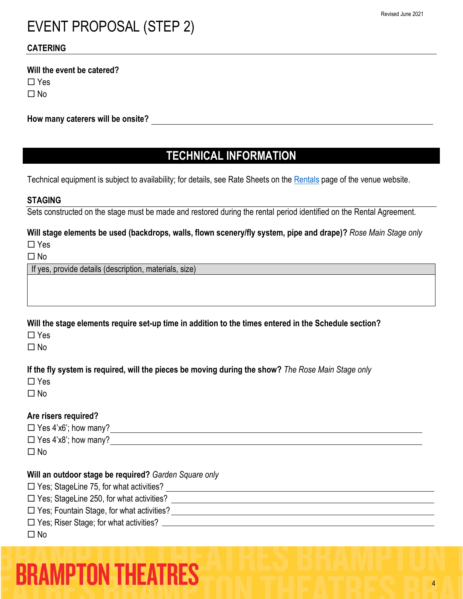#### **CATERING**

#### **Will the event be catered?**

 $\Box$  Yes

 $\Box$ No

#### **How many caterers will be onsite?**

#### **TECHNICAL INFORMATION**

Technical equipment is subject to availability; for details, see Rate Sheets on the [Rentals](https://tickets.brampton.ca/Online/default.asp?BOparam::WScontent::loadArticle::permalink=RentTheRose&BOparam::WScontent::loadArticle::context_id=) page of the venue website.

#### **STAGING**

Sets constructed on the stage must be made and restored during the rental period identified on the Rental Agreement.

#### **Will stage elements be used (backdrops, walls, flown scenery/fly system, pipe and drape)?** *Rose Main Stage only*

No

If yes, provide details (description, materials, size)

**Will the stage elements require set-up time in addition to the times entered in the Schedule section?**

 $\Box$  Yes

 $\Box$  No

**If the fly system is required, will the pieces be moving during the show?** *The Rose Main Stage only*

 $\Box$  Yes

 $\Box$  No

#### **Are risers required?**

 $\Box$  Yes 4'x6'; how many?

 $\Box$  Yes 4'x8'; how many?

 $\square$  No

#### **Will an outdoor stage be required?** *Garden Square only*

Yes; StageLine 75, for what activities?

□ Yes; StageLine 250, for what activities?

□ Yes; Fountain Stage, for what activities?

Yes; Riser Stage; for what activities?

#### $\Box$  No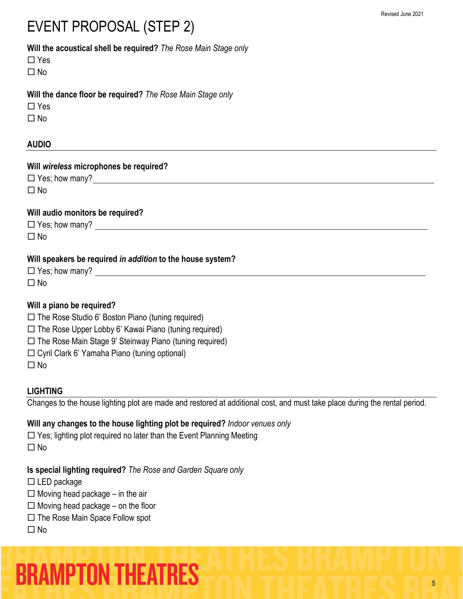#### **Will the acoustical shell be required?** *The Rose Main Stage only*

 $\Box$  No

#### **Will the dance floor be required?** *The Rose Main Stage only*

 $\Box$ No

#### **AUDIO**

| Will wireless microphones be required? |
|----------------------------------------|
| $\Box$ Yes; how many?                  |
| $\square$ No                           |
|                                        |
|                                        |
| Will audio monitors be required?       |
| $\Box$ Yes; how many?                  |

#### **Will speakers be required** *in addition* **to the house system?**

| $\Box$ Yes; how many? |  |
|-----------------------|--|
| $\Box$ No             |  |

#### **Will a piano be required?**

- $\Box$  The Rose Studio 6' Boston Piano (tuning required)
- $\Box$  The Rose Upper Lobby 6' Kawai Piano (tuning required)
- $\Box$  The Rose Main Stage 9' Steinway Piano (tuning required)
- Cyril Clark 6' Yamaha Piano (tuning optional)
- $\Box$  No

#### **LIGHTING**

Changes to the house lighting plot are made and restored at additional cost, and must take place during the rental period.

#### **Will any changes to the house lighting plot be required?** *Indoor venues only*

 $\Box$  Yes; lighting plot required no later than the Event Planning Meeting  $\Box$ No

#### **Is special lighting required?** *The Rose and Garden Square only*

- $\square$  LED package
- $\Box$  Moving head package in the air
- $\Box$  Moving head package on the floor
- $\Box$  The Rose Main Space Follow spot

#### $\Box$ No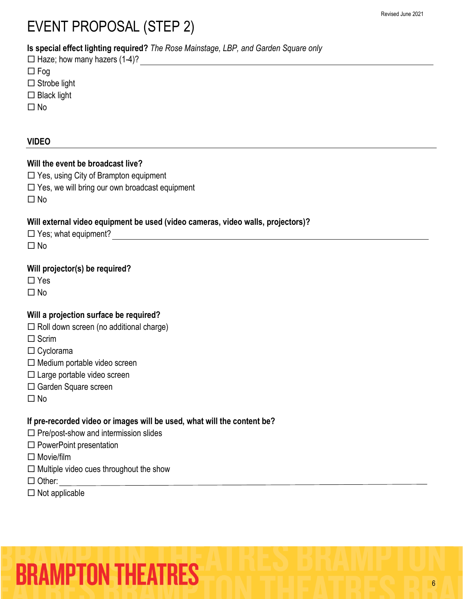**Is special effect lighting required?** *The Rose Mainstage, LBP, and Garden Square only*

| $\Box$ Haze; how many hazers (1-4)? |
|-------------------------------------|
| $\Box$ Fog                          |
| $\Box$ Strobe light                 |
|                                     |

- $\square$  Black light
- $\square$  No

#### **VIDEO**

#### **Will the event be broadcast live?**

□ Yes, using City of Brampton equipment

 $\square$  Yes, we will bring our own broadcast equipment

 $\Box$  No

#### **Will external video equipment be used (video cameras, video walls, projectors)?**

| $\Box$ Yes; what equipment? |  |
|-----------------------------|--|
| $\Box$ No                   |  |

#### **Will projector(s) be required?**

□ Yes

 $\Box$  No

#### **Will a projection surface be required?**

- $\Box$  Roll down screen (no additional charge)
- $\square$  Scrim
- □ Cyclorama
- $\Box$  Medium portable video screen
- Large portable video screen
- □ Garden Square screen
- $\Box$ No

#### **If pre-recorded video or images will be used, what will the content be?**

- $\square$  Pre/post-show and intermission slides
- $\square$  PowerPoint presentation
- $\square$  Movie/film
- $\Box$  Multiple video cues throughout the show
- □ Other:
- $\square$  Not applicable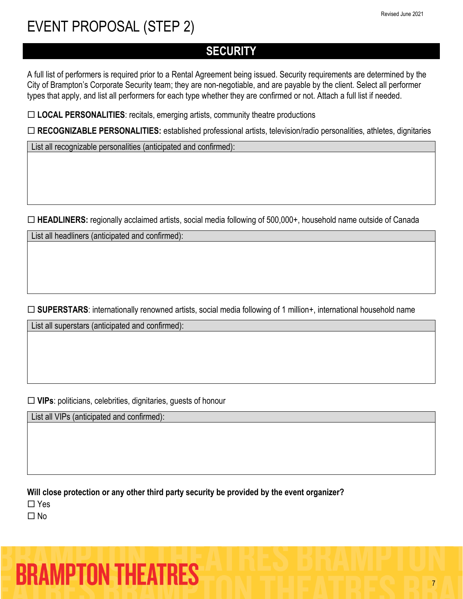### **SECURITY**

A full list of performers is required prior to a Rental Agreement being issued. Security requirements are determined by the City of Brampton's Corporate Security team; they are non-negotiable, and are payable by the client. Select all performer types that apply, and list all performers for each type whether they are confirmed or not. Attach a full list if needed.

□ LOCAL PERSONALITIES: recitals, emerging artists, community theatre productions

**RECOGNIZABLE PERSONALITIES:** established professional artists, television/radio personalities, athletes, dignitaries

List all recognizable personalities (anticipated and confirmed):

**HEADLINERS:** regionally acclaimed artists, social media following of 500,000+, household name outside of Canada

List all headliners (anticipated and confirmed):

□ **SUPERSTARS**: internationally renowned artists, social media following of 1 million+, international household name

List all superstars (anticipated and confirmed):

**VIPs**: politicians, celebrities, dignitaries, guests of honour

List all VIPs (anticipated and confirmed):

**Will close protection or any other third party security be provided by the event organizer?**

□ Yes

 $\Box$  No